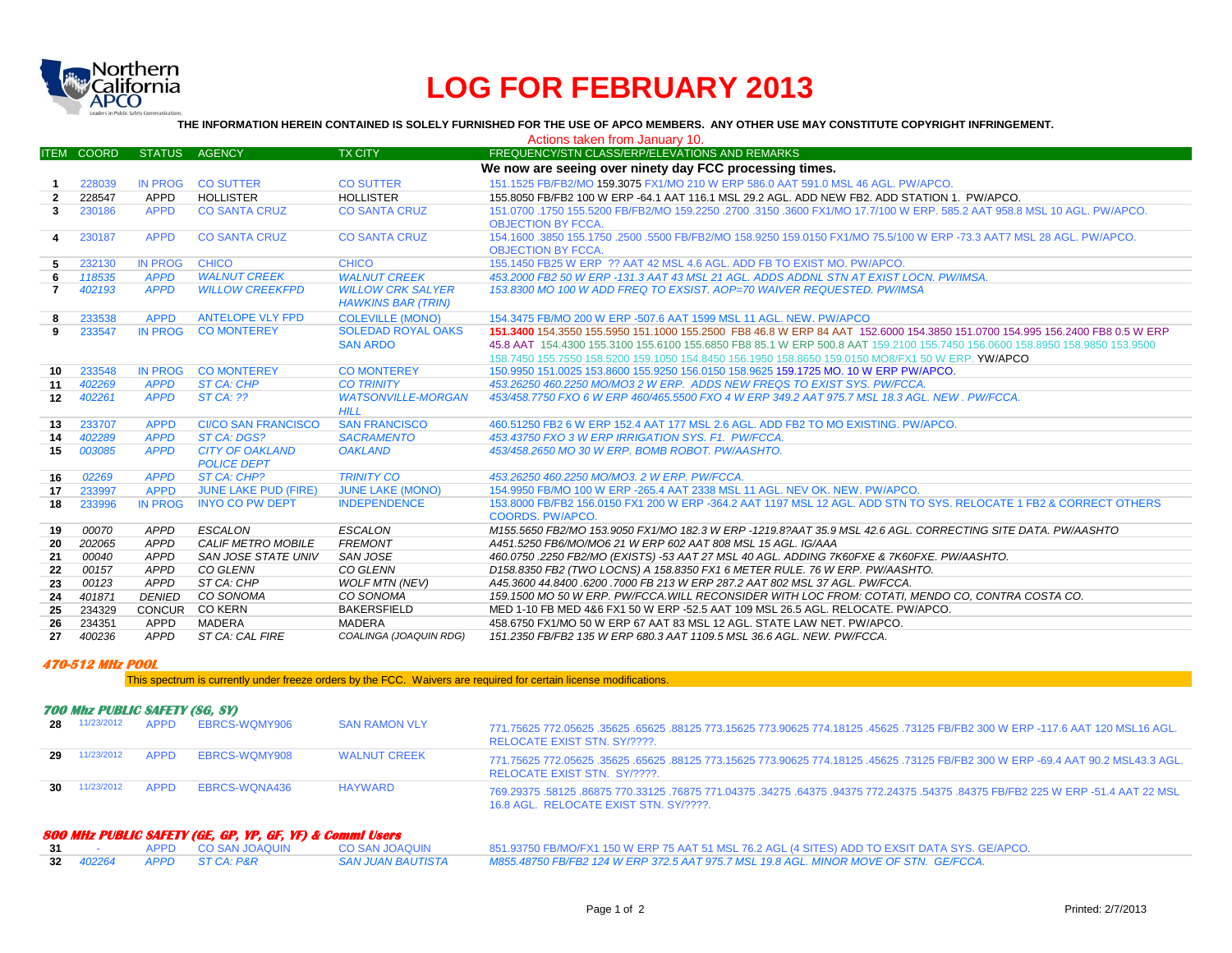

# **LOG FOR FEBRUARY 2013**

**THE INFORMATION HEREIN CONTAINED IS SOLELY FURNISHED FOR THE USE OF APCO MEMBERS. ANY OTHER USE MAY CONSTITUTE COPYRIGHT INFRINGEMENT.**

| Actions taken from January 10. |                   |                            |                                 |                           |                                                                                                                                                             |  |
|--------------------------------|-------------------|----------------------------|---------------------------------|---------------------------|-------------------------------------------------------------------------------------------------------------------------------------------------------------|--|
|                                | <b>ITEM COORD</b> | <b>STATUS</b>              | <b>AGENCY</b>                   | <b>TX CITY</b>            | FREQUENCY/STN CLASS/ERP/ELEVATIONS AND REMARKS                                                                                                              |  |
|                                |                   |                            |                                 |                           | We now are seeing over ninety day FCC processing times.                                                                                                     |  |
|                                | 228039            | <b>IN PROG</b>             | <b>CO SUTTER</b>                | <b>CO SUTTER</b>          | 151.1525 FB/FB2/MO 159.3075 FX1/MO 210 W ERP 586.0 AAT 591.0 MSL 46 AGL, PW/APCO.                                                                           |  |
| $\overline{2}$                 | 228547            | <b>APPD</b>                | <b>HOLLISTER</b>                | <b>HOLLISTER</b>          | 155,8050 FB/FB2 100 W ERP -64.1 AAT 116.1 MSL 29.2 AGL, ADD NEW FB2, ADD STATION 1, PW/APCO,                                                                |  |
| 3 <sup>1</sup>                 | 230186            | <b>APPD</b>                | <b>CO SANTA CRUZ</b>            | <b>CO SANTA CRUZ</b>      | 151.0700 .1750 155.5200 FB/FB2/MO 159.2250 .2700 .3150 .3600 FX1/MO 17.7/100 W ERP, 585.2 AAT 958.8 MSL 10 AGL, PW/APCO.                                    |  |
|                                |                   |                            |                                 |                           | <b>OBJECTION BY FCCA.</b>                                                                                                                                   |  |
| 4                              | 230187            | <b>APPD</b>                | <b>CO SANTA CRUZ</b>            | <b>CO SANTA CRUZ</b>      | 154.1600 .3850 155.1750 .2500 .5500 FB/FB2/MO 158.9250 159.0150 FX1/MO 75.5/100 W ERP -73.3 AAT7 MSL 28 AGL. PW/APCO.                                       |  |
|                                |                   |                            |                                 |                           | <b>OBJECTION BY FCCA.</b>                                                                                                                                   |  |
| 5.                             | 232130            | <b>IN PROG</b>             | <b>CHICO</b>                    | <b>CHICO</b>              | 155.1450 FB25 W ERP ?? AAT 42 MSL 4.6 AGL. ADD FB TO EXIST MO. PW/APCO.                                                                                     |  |
| 6                              | 118535            | <b>APPD</b>                | <b>WALNUT CREEK</b>             | <b>WALNUT CREEK</b>       | 453,2000 FB2 50 W ERP -131.3 AAT 43 MSL 21 AGL. ADDS ADDNL STN AT EXIST LOCN. PW/IMSA.                                                                      |  |
| $\mathbf{7}$                   | 402193            | <b>APPD</b>                | <b>WILLOW CREEKFPD</b>          | <b>WILLOW CRK SALYER</b>  | 153,8300 MO 100 W ADD FREQ TO EXSIST. AOP=70 WAIVER REQUESTED. PW/IMSA                                                                                      |  |
|                                |                   |                            |                                 | <b>HAWKINS BAR (TRIN)</b> |                                                                                                                                                             |  |
| 8                              | 233538            | <b>APPD</b>                | <b>ANTELOPE VLY FPD</b>         | <b>COLEVILLE (MONO)</b>   | 154.3475 FB/MO 200 W ERP -507.6 AAT 1599 MSL 11 AGL, NEW, PW/APCO                                                                                           |  |
| 9                              | 233547            | <b>IN PROG</b>             | <b>CO MONTEREY</b>              | <b>SOLEDAD ROYAL OAKS</b> | 151,3400 154,3550 155,5950 151,1000 155,2500 FB8 46.8 W ERP 84 AAT 152,6000 154,3850 151,0700 154,995 156,2400 FB8 0.5 W ERP                                |  |
|                                |                   |                            |                                 | <b>SAN ARDO</b>           | 45.8 AAT 154.4300 155.3100 155.6100 155.6850 FB8 85.1 W ERP 500.8 AAT 159.2100 155.7450 156.0600 158.8950 158.9850 153.9500                                 |  |
|                                |                   |                            |                                 |                           | 158.7450 155.7550 158.5200 159.1050 154.8450 156.1950 158.8650 159.0150 MO8/FX1 50 W ERP. YW/APCO                                                           |  |
| 10                             | 233548            | <b>IN PROG</b>             | <b>CO MONTEREY</b>              | <b>CO MONTEREY</b>        | 150,9950 151,0025 153,8600 155,9250 156,0150 158,9625 159,1725 MO, 10 W ERP PW/APCO,                                                                        |  |
| 11                             | 402269            | <b>APPD</b>                | <b>ST CA: CHP</b>               | <b>CO TRINITY</b>         | 453.26250 460.2250 MO/MO3 2 W ERP. ADDS NEW FREQS TO EXIST SYS. PW/FCCA.                                                                                    |  |
| 12                             | 402261            | <b>APPD</b>                | STCA: 22                        | <b>WATSONVILLE-MORGAN</b> | 453/458.7750 FXO 6 W ERP 460/465.5500 FXO 4 W ERP 349.2 AAT 975.7 MSL 18.3 AGL. NEW , PW/FCCA.                                                              |  |
|                                |                   |                            |                                 | <b>HILL</b>               |                                                                                                                                                             |  |
| 13                             | 233707            | <b>APPD</b>                | <b>CI/CO SAN FRANCISCO</b>      | <b>SAN FRANCISCO</b>      | 460.51250 FB2 6 W ERP 152.4 AAT 177 MSL 2.6 AGL, ADD FB2 TO MO EXISTING, PW/APCO,                                                                           |  |
| 14                             | 402289            | <b>APPD</b>                | ST CA: DGS?                     | <b>SACRAMENTO</b>         | 453.43750 FXO 3 W ERP IRRIGATION SYS. F1. PW/FCCA.                                                                                                          |  |
| 15                             | 003085            | <b>APPD</b>                | <b>CITY OF OAKLAND</b>          | <b>OAKLAND</b>            | 453/458.2650 MO 30 W ERP. BOMB ROBOT, PW/AASHTO.                                                                                                            |  |
|                                |                   |                            | <b>POLICE DEPT</b>              |                           |                                                                                                                                                             |  |
| 16                             | 02269             | <b>APPD</b>                | ST CA: CHP?                     | <b>TRINITY CO</b>         | 453.26250 460.2250 MO/MO3. 2 W ERP. PW/FCCA.                                                                                                                |  |
| 17                             | 233997            | <b>APPD</b>                | <b>JUNE LAKE PUD (FIRE)</b>     | <b>JUNE LAKE (MONO)</b>   | 154,9950 FB/MO 100 W ERP - 265.4 AAT 2338 MSL 11 AGL, NEV OK, NEW, PW/APCO,                                                                                 |  |
| 18                             | 233996            | IN PROG                    | <b>INYO CO PW DEPT</b>          | <b>INDEPENDENCE</b>       | 153,8000 FB/FB2 156,0150 FX1 200 W ERP -364.2 AAT 1197 MSL 12 AGL, ADD STN TO SYS, RELOCATE 1 FB2 & CORRECT OTHERS                                          |  |
|                                |                   |                            |                                 |                           | COORDS, PW/APCO.                                                                                                                                            |  |
| 19                             | 00070             | <b>APPD</b>                | <b>ESCALON</b>                  | ESCALON                   | M155.5650 FB2/MO 153.9050 FX1/MO 182.3 W ERP -1219.8?AAT 35.9 MSL 42.6 AGL. CORRECTING SITE DATA. PW/AASHTO                                                 |  |
| 20                             | 202065            | <b>APPD</b>                | CALIF METRO MOBILE              | <b>FREMONT</b>            | A451.5250 FB6/MO/MO6 21 W ERP 602 AAT 808 MSL 15 AGL. IG/AAA                                                                                                |  |
| 21                             | 00040             | <b>APPD</b>                | SAN JOSE STATE UNIV<br>CO GLENN | SAN JOSE<br>CO GLENN      | 460.0750 .2250 FB2/MO (EXISTS) -53 AAT 27 MSL 40 AGL. ADDING 7K60FXE & 7K60FXE. PW/AASHTO.                                                                  |  |
| 22                             | 00157<br>00123    | <b>APPD</b><br><b>APPD</b> | ST CA: CHP                      | <b>WOLF MTN (NEV)</b>     | D158.8350 FB2 (TWO LOCNS) A 158.8350 FX1 6 METER RULE. 76 W ERP. PW/AASHTO.<br>A45.3600 44.8400 .6200 .7000 FB 213 W ERP 287.2 AAT 802 MSL 37 AGL. PW/FCCA. |  |
| 23<br>24                       | 401871            | <b>DENIED</b>              | CO SONOMA                       | CO SONOMA                 | 159.1500 MO 50 W ERP. PW/FCCA WILL RECONSIDER WITH LOC FROM: COTATI, MENDO CO, CONTRA COSTA CO.                                                             |  |
| 25                             | 234329            | CONCUR                     | <b>CO KERN</b>                  | <b>BAKERSFIELD</b>        | MED 1-10 FB MED 4&6 FX1 50 W ERP -52.5 AAT 109 MSL 26.5 AGL, RELOCATE, PW/APCO,                                                                             |  |
| 26                             | 234351            | <b>APPD</b>                | MADERA                          | MADERA                    | 458.6750 FX1/MO 50 W ERP 67 AAT 83 MSL 12 AGL. STATE LAW NET. PW/APCO.                                                                                      |  |
| 27                             | 400236            | <b>APPD</b>                | ST CA: CAL FIRE                 | COALINGA (JOAQUIN RDG)    | 151.2350 FB/FB2 135 W ERP 680.3 AAT 1109.5 MSL 36.6 AGL. NEW. PW/FCCA.                                                                                      |  |
|                                |                   |                            |                                 |                           |                                                                                                                                                             |  |

### **470-512 MHz POOL**

This spectrum is currently under freeze orders by the FCC. Waivers are required for certain license modifications.

## **700 Mhz PUBLIC SAFETY (SG, SY)**

| 28 | 11/23/2012      | <b>APPD</b> | EBRCS-WOMY906 | <b>SAN RAMON VLY</b> | .771.75625 772.05625 .35625 .65625 .88125 773.15625 773.90625 774.18125 .45625 .73125 FB/FB2 300 W ERP -117.6 AAT 120 MSL16 AGL<br>RELOCATE EXIST STN. SY/????.              |
|----|-----------------|-------------|---------------|----------------------|------------------------------------------------------------------------------------------------------------------------------------------------------------------------------|
| 29 | 11/23/2012      | APPD        | EBRCS-WOMY908 | <b>WALNUT CREEK</b>  | .771.75625 772.05625 .35625 .65625 .88125 773.15625 773.90625 774.18125 .45625 .73125 FB/FB2 300 W ERP -69.4 AAT 90.2 MSL43.3 AGL<br>RELOCATE EXIST STN. SY/????.            |
|    | $30$ 11/23/2012 | <b>APPD</b> | EBRCS-WONA436 | <b>HAYWARD</b>       | .769,29375 .58125 .86875 770,33125 .76875 771,04375 .34275 .64375 .94375 772,24375 .54375 .84375 FB/FB2 225 W ERP -51.4 AAT 22 MSL<br>16.8 AGL. RELOCATE EXIST STN. SY/????. |

# **800 MHz PUBLIC SAFETY (GE, GP, YP, GF, YF) & Comml Users**

|  | 31 - APPD CO SANJOAQUIN CO SANJOAQUIN | 851.93750 FB/MO/FX1 150 W ERP 75 AAT 51 MSL 76.2 AGL (4 SITES) ADD TO EXSIT DATA SYS. GE/APCO.                        |
|--|---------------------------------------|-----------------------------------------------------------------------------------------------------------------------|
|  | 32 402264 APPD STCA: P&R              | SAN JUAN BAUTISTA               M855.48750 FB/FB2 124 W ERP 372.5 AAT 975.7 MSL 19.8 AGL. MINOR MOVE OF STN. GE/FCCA. |